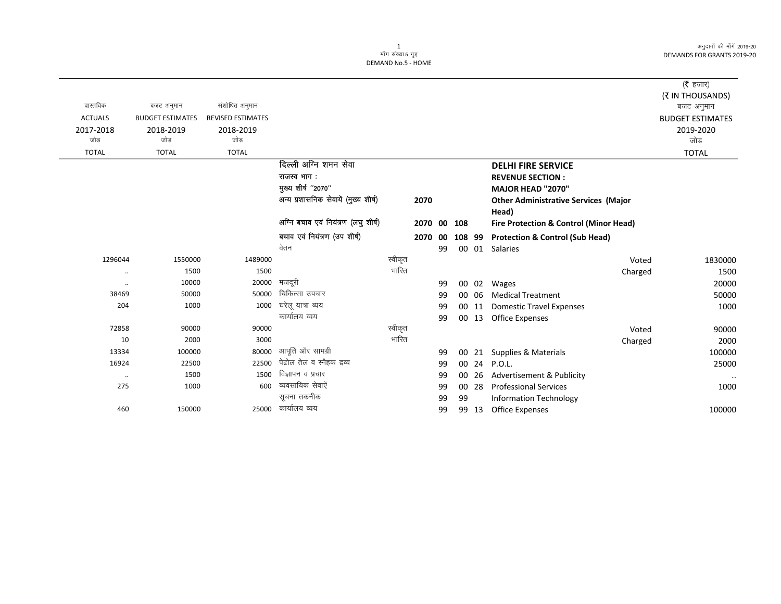अनुदानों की माँगें 2019-20 **DEMANDS FOR GRANTS 2019-20** 

## 1<br>माँग संख्या 5 गृह DEMAND No.5 - HOME

| वास्तविक       | बजट अनुमान              | संशोधित अनुमान           |                                      |         |         |    |        |       |                                                   | ( $\bar{\tau}$ हजार)<br>(₹ IN THOUSANDS)<br>बजट अनुमान |
|----------------|-------------------------|--------------------------|--------------------------------------|---------|---------|----|--------|-------|---------------------------------------------------|--------------------------------------------------------|
| <b>ACTUALS</b> | <b>BUDGET ESTIMATES</b> | <b>REVISED ESTIMATES</b> |                                      |         |         |    |        |       |                                                   | <b>BUDGET ESTIMATES</b>                                |
| 2017-2018      | 2018-2019               | 2018-2019                |                                      |         |         |    |        |       |                                                   | 2019-2020                                              |
| जोड            | जोड                     | जोड                      |                                      |         |         |    |        |       |                                                   | जोड़                                                   |
| <b>TOTAL</b>   | <b>TOTAL</b>            | <b>TOTAL</b>             |                                      |         |         |    |        |       |                                                   | <b>TOTAL</b>                                           |
|                |                         |                          | दिल्ली अग्नि शमन सेवा                |         |         |    |        |       | <b>DELHI FIRE SERVICE</b>                         |                                                        |
|                |                         |                          | राजस्व भाग:                          |         |         |    |        |       | <b>REVENUE SECTION:</b>                           |                                                        |
|                |                         |                          | मुख्य शीर्ष "2070"                   |         |         |    |        |       | <b>MAJOR HEAD "2070"</b>                          |                                                        |
|                |                         |                          | अन्य प्रशासनिक सेवायें (मुख्य शीर्ष) |         | 2070    |    |        |       | <b>Other Administrative Services (Major</b>       |                                                        |
|                |                         |                          |                                      |         |         |    |        |       | Head)                                             |                                                        |
|                |                         |                          | अग्नि बचाव एवं नियंत्रण (लघु शीर्ष)  |         | 2070 00 |    | 108    |       | <b>Fire Protection &amp; Control (Minor Head)</b> |                                                        |
|                |                         |                          | बचाव एवं नियंत्रण (उप शीर्ष)         |         | 2070 00 |    | 108 99 |       | <b>Protection &amp; Control (Sub Head)</b>        |                                                        |
|                |                         |                          | वेतन                                 |         |         | 99 |        |       | 00 01 Salaries                                    |                                                        |
| 1296044        | 1550000                 | 1489000                  |                                      | स्वीकृत |         |    |        |       | Voted                                             | 1830000                                                |
| $\ddotsc$      | 1500                    | 1500                     |                                      | भारित   |         |    |        |       | Charged                                           | 1500                                                   |
| $\ldots$       | 10000                   | 20000                    | मजदूरी                               |         |         | 99 | 00     | 02    | Wages                                             | 20000                                                  |
| 38469          | 50000                   | 50000                    | चिकित्सा उपचार                       |         |         | 99 |        | 00 06 | <b>Medical Treatment</b>                          | 50000                                                  |
| 204            | 1000                    | 1000                     | घरेलू यात्रा व्यय                    |         |         | 99 |        | 00 11 | <b>Domestic Travel Expenses</b>                   | 1000                                                   |
|                |                         |                          | कार्यालय व्यय                        |         |         | 99 |        | 00 13 | <b>Office Expenses</b>                            |                                                        |
| 72858          | 90000                   | 90000                    |                                      | स्वीकृत |         |    |        |       | Voted                                             | 90000                                                  |
| 10             | 2000                    | 3000                     |                                      | भारित   |         |    |        |       | Charged                                           | 2000                                                   |
| 13334          | 100000                  | 80000                    | आपूर्ति और सामग्री                   |         |         | 99 | 00     | 21    | <b>Supplies &amp; Materials</b>                   | 100000                                                 |
| 16924          | 22500                   | 22500                    | पेद्रोल तेल व स्नैहक द्रव्य          |         |         | 99 |        | 00 24 | <b>P.O.L.</b>                                     | 25000                                                  |
| $\ddotsc$      | 1500                    | 1500                     | विज्ञापन व प्रचार                    |         |         | 99 | 00     | 26    | Advertisement & Publicity                         | $\cdots$                                               |
| 275            | 1000                    | 600                      | व्यवसायिक सेवाऐं                     |         |         | 99 |        | 00 28 | <b>Professional Services</b>                      | 1000                                                   |
|                |                         |                          | सूचना तकनीक                          |         |         | 99 | 99     |       | <b>Information Technology</b>                     |                                                        |
| 460            | 150000                  | 25000                    | कार्यालय व्यय                        |         |         | 99 |        | 99 13 | <b>Office Expenses</b>                            | 100000                                                 |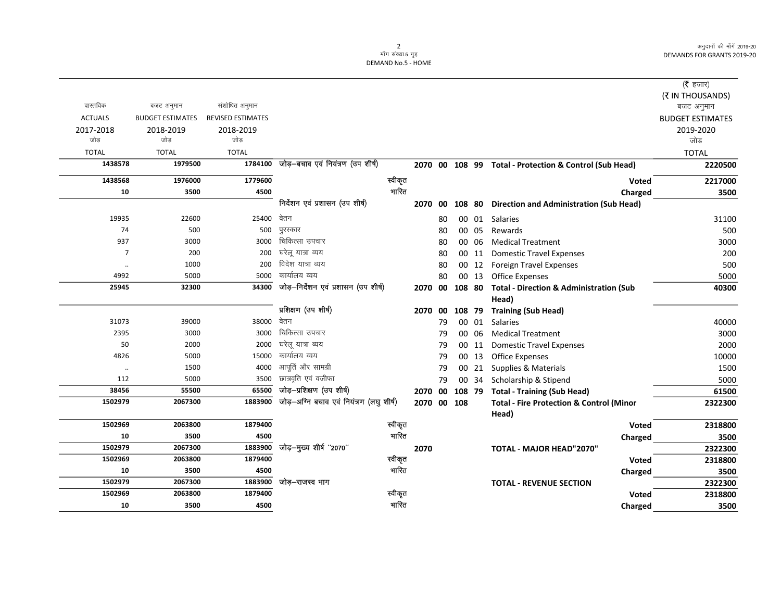अनुदानों की माँगें 2019-20 DEMANDS FOR GRANTS 2019-20

## 2<br>माँग संख्या.5 गृह DEMAND No.5 - HOME

|                      |                         |                          |                                          |         |         |    |        |       |                                                        | ( <b>रै</b> हजार)       |
|----------------------|-------------------------|--------------------------|------------------------------------------|---------|---------|----|--------|-------|--------------------------------------------------------|-------------------------|
|                      |                         |                          |                                          |         |         |    |        |       |                                                        | (₹ IN THOUSANDS)        |
| वास्तविक             | बजट अनुमान              | संशोधित अनुमान           |                                          |         |         |    |        |       |                                                        | बजट अनुमान              |
| <b>ACTUALS</b>       | <b>BUDGET ESTIMATES</b> | <b>REVISED ESTIMATES</b> |                                          |         |         |    |        |       |                                                        | <b>BUDGET ESTIMATES</b> |
| 2017-2018            | 2018-2019               | 2018-2019                |                                          |         |         |    |        |       |                                                        | 2019-2020               |
| जोड़                 | जोड़                    | जोड                      |                                          |         |         |    |        |       |                                                        | जोड                     |
| <b>TOTAL</b>         | <b>TOTAL</b>            | <b>TOTAL</b>             |                                          |         |         |    |        |       |                                                        | <b>TOTAL</b>            |
| 1438578              | 1979500                 | 1784100                  | जोड़–बचाव एवं नियंत्रण (उप शीर्ष)        |         |         |    |        |       | 2070 00 108 99 Total - Protection & Control (Sub Head) | 2220500                 |
| 1438568              | 1976000                 | 1779600                  |                                          | स्वीकृत |         |    |        |       | Voted                                                  | 2217000                 |
| 10                   | 3500                    | 4500                     |                                          | भारित   |         |    |        |       | Charged                                                | 3500                    |
|                      |                         |                          | निर्देशन एवं प्रशासन (उप शीर्ष)          |         | 2070 00 |    | 108 80 |       | Direction and Administration (Sub Head)                |                         |
| 19935                | 22600                   | 25400                    | वेतन                                     |         |         | 80 |        | 00 01 | Salaries                                               | 31100                   |
| 74                   | 500                     | 500                      | पुरस्कार                                 |         |         | 80 | 00 05  |       | Rewards                                                | 500                     |
| 937                  | 3000                    | 3000                     | चिकित्सा उपचार                           |         |         | 80 | 00 06  |       | <b>Medical Treatment</b>                               | 3000                    |
| $\overline{7}$       | 200                     | 200                      | घरेलू यात्रा व्यय                        |         |         | 80 | 00 11  |       | <b>Domestic Travel Expenses</b>                        | 200                     |
| $\ddot{\phantom{a}}$ | 1000                    | 200                      | विदेश यात्रा व्यय                        |         |         | 80 |        |       | 00 12 Foreign Travel Expenses                          | 500                     |
| 4992                 | 5000                    | 5000                     | कार्यालय व्यय                            |         |         | 80 |        | 00 13 | <b>Office Expenses</b>                                 | 5000                    |
| 25945                | 32300                   | 34300                    | जोड़-निर्देशन एवं प्रशासन (उप शीर्ष)     |         | 2070 00 |    | 108 80 |       | <b>Total - Direction &amp; Administration (Sub</b>     | 40300                   |
|                      |                         |                          |                                          |         |         |    |        |       | Head)                                                  |                         |
|                      |                         |                          | प्रशिक्षण (उप शीर्ष)                     |         | 2070 00 |    | 108 79 |       | <b>Training (Sub Head)</b>                             |                         |
| 31073                | 39000                   | 38000                    | वेतन                                     |         |         | 79 | 00 01  |       | <b>Salaries</b>                                        | 40000                   |
| 2395                 | 3000                    | 3000                     | चिकित्सा उपचार                           |         |         | 79 | 00 06  |       | <b>Medical Treatment</b>                               | 3000                    |
| 50                   | 2000                    | 2000                     | घरेलू यात्रा व्यय                        |         |         | 79 | 00 11  |       | <b>Domestic Travel Expenses</b>                        | 2000                    |
| 4826                 | 5000                    | 15000                    | कार्यालय व्यय                            |         |         | 79 | 00 13  |       | <b>Office Expenses</b>                                 | 10000                   |
| $\ddot{\phantom{a}}$ | 1500                    | 4000                     | आपूर्ति और सामग्री                       |         |         | 79 | 00 21  |       | Supplies & Materials                                   | 1500                    |
| 112                  | 5000                    | 3500                     | छात्रवृति एवं वजीफा                      |         |         | 79 |        | 00 34 | Scholarship & Stipend                                  | 5000                    |
| 38456                | 55500                   | 65500                    | जोड़-प्रशिक्षण (उप शीर्ष)                |         | 2070 00 |    | 108 79 |       | <b>Total - Training (Sub Head)</b>                     | 61500                   |
| 1502979              | 2067300                 | 1883900                  | जोड़-अग्नि बचाव एवं नियंत्रण (लघु शीर्ष) |         | 2070 00 |    | 108    |       | <b>Total - Fire Protection &amp; Control (Minor</b>    | 2322300                 |
|                      |                         |                          |                                          |         |         |    |        |       | Head)                                                  |                         |
| 1502969              | 2063800                 | 1879400                  |                                          | स्वीकृत |         |    |        |       | Voted                                                  | 2318800                 |
| 10                   | 3500                    | 4500                     |                                          | भारित   |         |    |        |       | Charged                                                | 3500                    |
| 1502979              | 2067300                 | 1883900                  | जोड़-मुख्य शीर्ष "2070"                  |         | 2070    |    |        |       | TOTAL - MAJOR HEAD"2070"                               | 2322300                 |
| 1502969              | 2063800                 | 1879400                  |                                          | स्वीकृत |         |    |        |       | <b>Voted</b>                                           | 2318800                 |
| 10                   | 3500                    | 4500                     |                                          | भारित   |         |    |        |       | Charged                                                | 3500                    |
| 1502979              | 2067300                 | 1883900                  | जोड़–राजस्व भाग                          |         |         |    |        |       | <b>TOTAL - REVENUE SECTION</b>                         | 2322300                 |
| 1502969              | 2063800                 | 1879400                  |                                          | स्वीकृत |         |    |        |       | Voted                                                  | 2318800                 |
| 10                   | 3500                    | 4500                     |                                          | भारित   |         |    |        |       | Charged                                                | 3500                    |
|                      |                         |                          |                                          |         |         |    |        |       |                                                        |                         |